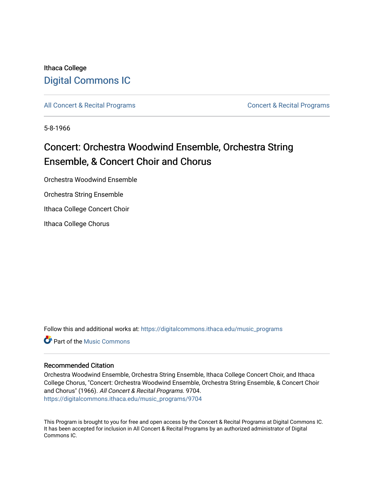## Ithaca College [Digital Commons IC](https://digitalcommons.ithaca.edu/)

[All Concert & Recital Programs](https://digitalcommons.ithaca.edu/music_programs) **Concert & Recital Programs** Concert & Recital Programs

5-8-1966

## Concert: Orchestra Woodwind Ensemble, Orchestra String Ensemble, & Concert Choir and Chorus

Orchestra Woodwind Ensemble

Orchestra String Ensemble

Ithaca College Concert Choir

Ithaca College Chorus

Follow this and additional works at: [https://digitalcommons.ithaca.edu/music\\_programs](https://digitalcommons.ithaca.edu/music_programs?utm_source=digitalcommons.ithaca.edu%2Fmusic_programs%2F9704&utm_medium=PDF&utm_campaign=PDFCoverPages) 

**C** Part of the Music Commons

## Recommended Citation

Orchestra Woodwind Ensemble, Orchestra String Ensemble, Ithaca College Concert Choir, and Ithaca College Chorus, "Concert: Orchestra Woodwind Ensemble, Orchestra String Ensemble, & Concert Choir and Chorus" (1966). All Concert & Recital Programs. 9704. [https://digitalcommons.ithaca.edu/music\\_programs/9704](https://digitalcommons.ithaca.edu/music_programs/9704?utm_source=digitalcommons.ithaca.edu%2Fmusic_programs%2F9704&utm_medium=PDF&utm_campaign=PDFCoverPages) 

This Program is brought to you for free and open access by the Concert & Recital Programs at Digital Commons IC. It has been accepted for inclusion in All Concert & Recital Programs by an authorized administrator of Digital Commons IC.